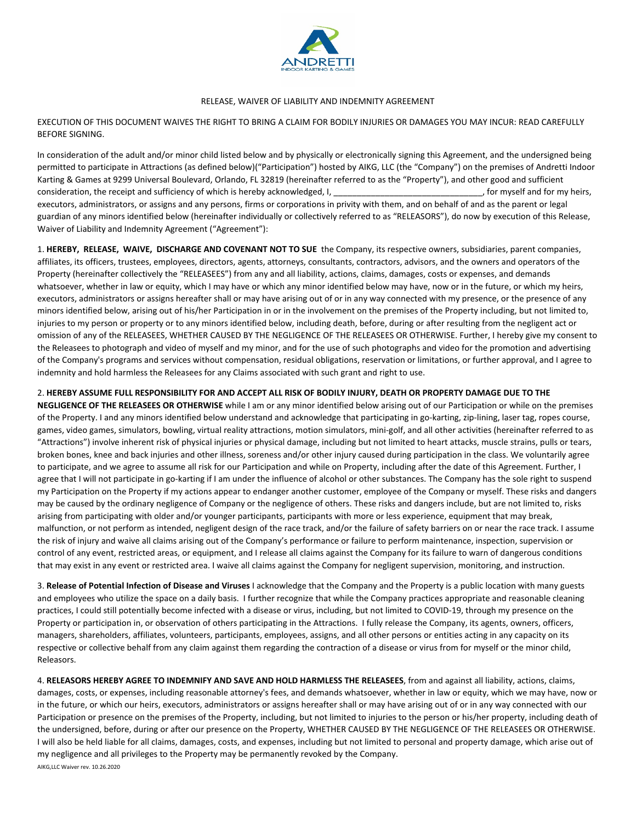

## RELEASE, WAIVER OF LIABILITY AND INDEMNITY AGREEMENT

EXECUTION OF THIS DOCUMENT WAIVES THE RIGHT TO BRING A CLAIM FOR BODILY INJURIES OR DAMAGES YOU MAY INCUR: READ CAREFULLY BEFORE SIGNING.

In consideration of the adult and/or minor child listed below and by physically or electronically signing this Agreement, and the undersigned being permitted to participate in Attractions (as defined below)("Participation") hosted by AIKG, LLC (the "Company") on the premises of Andretti Indoor Karting & Games at 9299 Universal Boulevard, Orlando, FL 32819 (hereinafter referred to as the "Property"), and other good and sufficient consideration, the receipt and sufficiency of which is hereby acknowledged, I, example the state of the state of the state of the state of the state of the state of the state of the state of the state of the state of the s executors, administrators, or assigns and any persons, firms or corporations in privity with them, and on behalf of and as the parent or legal guardian of any minors identified below (hereinafter individually or collectively referred to as "RELEASORS"), do now by execution of this Release, Waiver of Liability and Indemnity Agreement ("Agreement"):

1. **HEREBY, RELEASE, WAIVE, DISCHARGE AND COVENANT NOT TO SUE** the Company, its respective owners, subsidiaries, parent companies, affiliates, its officers, trustees, employees, directors, agents, attorneys, consultants, contractors, advisors, and the owners and operators of the Property (hereinafter collectively the "RELEASEES") from any and all liability, actions, claims, damages, costs or expenses, and demands whatsoever, whether in law or equity, which I may have or which any minor identified below may have, now or in the future, or which my heirs, executors, administrators or assigns hereafter shall or may have arising out of or in any way connected with my presence, or the presence of any minors identified below, arising out of his/her Participation in or in the involvement on the premises of the Property including, but not limited to, injuries to my person or property or to any minors identified below, including death, before, during or after resulting from the negligent act or omission of any of the RELEASEES, WHETHER CAUSED BY THE NEGLIGENCE OF THE RELEASEES OR OTHERWISE. Further, I hereby give my consent to the Releasees to photograph and video of myself and my minor, and for the use of such photographs and video for the promotion and advertising of the Company's programs and services without compensation, residual obligations, reservation or limitations, or further approval, and I agree to indemnity and hold harmless the Releasees for any Claims associated with such grant and right to use.

## 2. **HEREBY ASSUME FULL RESPONSIBILITY FOR AND ACCEPT ALL RISK OF BODILY INJURY, DEATH OR PROPERTY DAMAGE DUE TO THE**

**NEGLIGENCE OF THE RELEASEES OR OTHERWISE** while I am or any minor identified below arising out of our Participation or while on the premises of the Property. I and any minors identified below understand and acknowledge that participating in go-karting, zip-lining, laser tag, ropes course, games, video games, simulators, bowling, virtual reality attractions, motion simulators, mini-golf, and all other activities (hereinafter referred to as "Attractions") involve inherent risk of physical injuries or physical damage, including but not limited to heart attacks, muscle strains, pulls or tears, broken bones, knee and back injuries and other illness, soreness and/or other injury caused during participation in the class. We voluntarily agree to participate, and we agree to assume all risk for our Participation and while on Property, including after the date of this Agreement. Further, I agree that I will not participate in go-karting if I am under the influence of alcohol or other substances. The Company has the sole right to suspend my Participation on the Property if my actions appear to endanger another customer, employee of the Company or myself. These risks and dangers may be caused by the ordinary negligence of Company or the negligence of others. These risks and dangers include, but are not limited to, risks arising from participating with older and/or younger participants, participants with more or less experience, equipment that may break, malfunction, or not perform as intended, negligent design of the race track, and/or the failure of safety barriers on or near the race track. I assume the risk of injury and waive all claims arising out of the Company's performance or failure to perform maintenance, inspection, supervision or control of any event, restricted areas, or equipment, and I release all claims against the Company for its failure to warn of dangerous conditions that may exist in any event or restricted area. I waive all claims against the Company for negligent supervision, monitoring, and instruction.

3. **Release of Potential Infection of Disease and Viruses** I acknowledge that the Company and the Property is a public location with many guests and employees who utilize the space on a daily basis. I further recognize that while the Company practices appropriate and reasonable cleaning practices, I could still potentially become infected with a disease or virus, including, but not limited to COVID-19, through my presence on the Property or participation in, or observation of others participating in the Attractions. I fully release the Company, its agents, owners, officers, managers, shareholders, affiliates, volunteers, participants, employees, assigns, and all other persons or entities acting in any capacity on its respective or collective behalf from any claim against them regarding the contraction of a disease or virus from for myself or the minor child, Releasors.

AIKG,LLC Waiver rev. 10.26.2020 4. **RELEASORS HEREBY AGREE TO INDEMNIFY AND SAVE AND HOLD HARMLESS THE RELEASEES**, from and against all liability, actions, claims, damages, costs, or expenses, including reasonable attorney's fees, and demands whatsoever, whether in law or equity, which we may have, now or in the future, or which our heirs, executors, administrators or assigns hereafter shall or may have arising out of or in any way connected with our Participation or presence on the premises of the Property, including, but not limited to injuries to the person or his/her property, including death of the undersigned, before, during or after our presence on the Property, WHETHER CAUSED BY THE NEGLIGENCE OF THE RELEASEES OR OTHERWISE. I will also be held liable for all claims, damages, costs, and expenses, including but not limited to personal and property damage, which arise out of my negligence and all privileges to the Property may be permanently revoked by the Company.